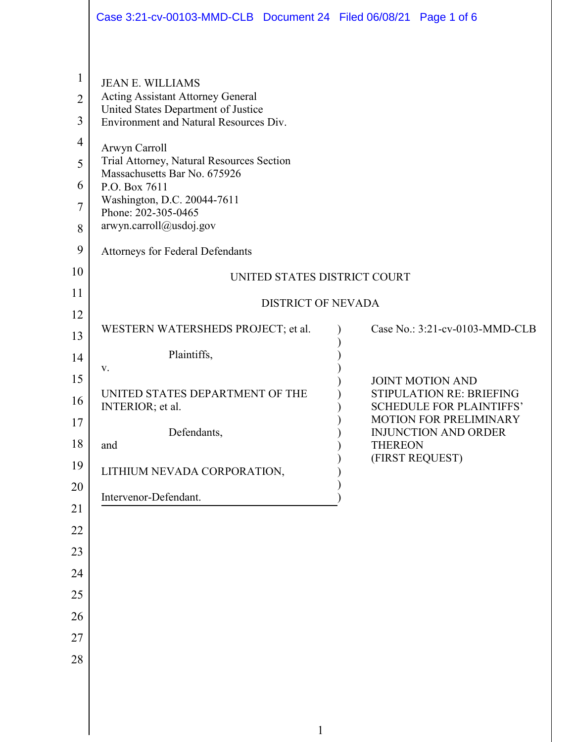|                                                                | Case 3:21-cv-00103-MMD-CLB  Document 24  Filed 06/08/21  Page 1 of 6                                                                                                                                                                                                |                |                                                                                               |  |
|----------------------------------------------------------------|---------------------------------------------------------------------------------------------------------------------------------------------------------------------------------------------------------------------------------------------------------------------|----------------|-----------------------------------------------------------------------------------------------|--|
|                                                                |                                                                                                                                                                                                                                                                     |                |                                                                                               |  |
| 1<br>$\overline{2}$<br>3<br>$\overline{\mathcal{A}}$<br>5<br>6 | <b>JEAN E. WILLIAMS</b><br><b>Acting Assistant Attorney General</b><br>United States Department of Justice<br>Environment and Natural Resources Div.<br>Arwyn Carroll<br>Trial Attorney, Natural Resources Section<br>Massachusetts Bar No. 675926<br>P.O. Box 7611 |                |                                                                                               |  |
| 7<br>8                                                         | Washington, D.C. 20044-7611<br>Phone: 202-305-0465<br>arwyn.carroll@usdoj.gov                                                                                                                                                                                       |                |                                                                                               |  |
| 9                                                              | <b>Attorneys for Federal Defendants</b>                                                                                                                                                                                                                             |                |                                                                                               |  |
| 10                                                             | UNITED STATES DISTRICT COURT                                                                                                                                                                                                                                        |                |                                                                                               |  |
| 11                                                             | <b>DISTRICT OF NEVADA</b>                                                                                                                                                                                                                                           |                |                                                                                               |  |
| 12<br>13                                                       | WESTERN WATERSHEDS PROJECT; et al.                                                                                                                                                                                                                                  |                | Case No.: 3:21-cv-0103-MMD-CLB                                                                |  |
| 14                                                             | Plaintiffs,                                                                                                                                                                                                                                                         |                |                                                                                               |  |
| 15<br>16                                                       | V.<br>UNITED STATES DEPARTMENT OF THE<br>INTERIOR; et al.                                                                                                                                                                                                           |                | <b>JOINT MOTION AND</b><br><b>STIPULATION RE: BRIEFING</b><br><b>SCHEDULE FOR PLAINTIFFS'</b> |  |
| 17<br>18                                                       | Defendants,                                                                                                                                                                                                                                                         | <b>THEREON</b> | <b>MOTION FOR PRELIMINARY</b><br><b>INJUNCTION AND ORDER</b>                                  |  |
| 19                                                             | and<br>LITHIUM NEVADA CORPORATION,                                                                                                                                                                                                                                  |                | (FIRST REQUEST)                                                                               |  |
| 20                                                             |                                                                                                                                                                                                                                                                     |                |                                                                                               |  |
| 21                                                             | Intervenor-Defendant.                                                                                                                                                                                                                                               |                |                                                                                               |  |
| 22                                                             |                                                                                                                                                                                                                                                                     |                |                                                                                               |  |
| 23                                                             |                                                                                                                                                                                                                                                                     |                |                                                                                               |  |
| 24<br>25                                                       |                                                                                                                                                                                                                                                                     |                |                                                                                               |  |
| 26                                                             |                                                                                                                                                                                                                                                                     |                |                                                                                               |  |
| 27                                                             |                                                                                                                                                                                                                                                                     |                |                                                                                               |  |
| 28                                                             |                                                                                                                                                                                                                                                                     |                |                                                                                               |  |
|                                                                |                                                                                                                                                                                                                                                                     |                |                                                                                               |  |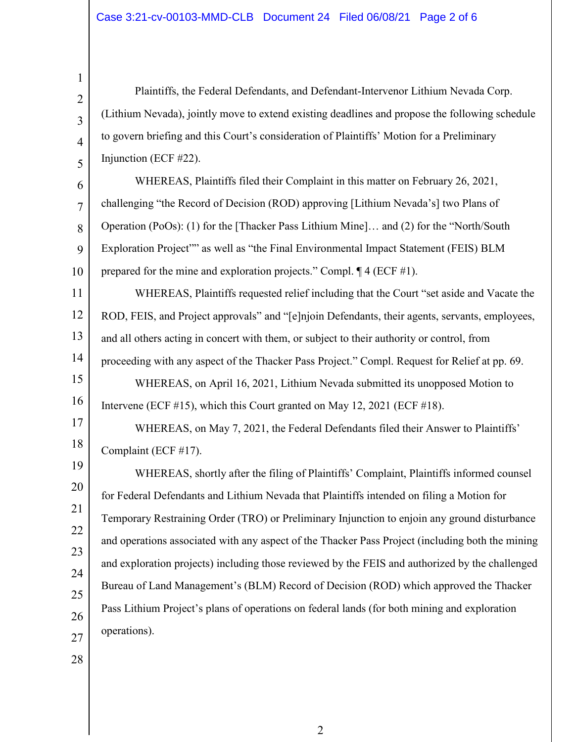Plaintiffs, the Federal Defendants, and Defendant-Intervenor Lithium Nevada Corp. (Lithium Nevada), jointly move to extend existing deadlines and propose the following schedule to govern briefing and this Court's consideration of Plaintiffs' Motion for a Preliminary Injunction (ECF #22).

6 7 8 9 10 WHEREAS, Plaintiffs filed their Complaint in this matter on February 26, 2021, challenging "the Record of Decision (ROD) approving [Lithium Nevada's] two Plans of Operation (PoOs): (1) for the [Thacker Pass Lithium Mine]… and (2) for the "North/South Exploration Project"" as well as "the Final Environmental Impact Statement (FEIS) BLM prepared for the mine and exploration projects." Compl. ¶ 4 (ECF #1).

11 12 13 14 15 WHEREAS, Plaintiffs requested relief including that the Court "set aside and Vacate the ROD, FEIS, and Project approvals" and "[e]njoin Defendants, their agents, servants, employees, and all others acting in concert with them, or subject to their authority or control, from proceeding with any aspect of the Thacker Pass Project." Compl. Request for Relief at pp. 69.

16 WHEREAS, on April 16, 2021, Lithium Nevada submitted its unopposed Motion to Intervene (ECF #15), which this Court granted on May 12, 2021 (ECF #18).

WHEREAS, on May 7, 2021, the Federal Defendants filed their Answer to Plaintiffs' Complaint (ECF #17).

19 20 21 22 23 24 25 26 27 WHEREAS, shortly after the filing of Plaintiffs' Complaint, Plaintiffs informed counsel for Federal Defendants and Lithium Nevada that Plaintiffs intended on filing a Motion for Temporary Restraining Order (TRO) or Preliminary Injunction to enjoin any ground disturbance and operations associated with any aspect of the Thacker Pass Project (including both the mining and exploration projects) including those reviewed by the FEIS and authorized by the challenged Bureau of Land Management's (BLM) Record of Decision (ROD) which approved the Thacker Pass Lithium Project's plans of operations on federal lands (for both mining and exploration operations).

28

17

18

1

2

3

4

5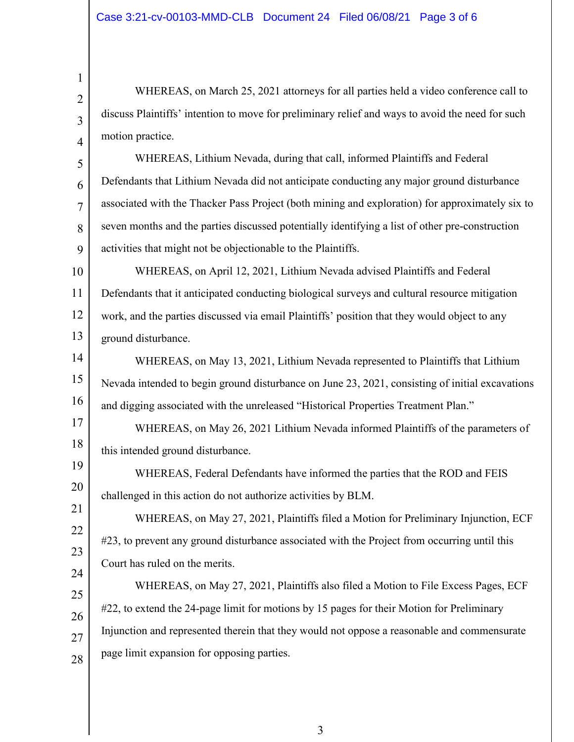1

2

3

4

5

6

7

8

9

17

19

20

21

22

23

24

WHEREAS, on March 25, 2021 attorneys for all parties held a video conference call to discuss Plaintiffs' intention to move for preliminary relief and ways to avoid the need for such motion practice.

WHEREAS, Lithium Nevada, during that call, informed Plaintiffs and Federal Defendants that Lithium Nevada did not anticipate conducting any major ground disturbance associated with the Thacker Pass Project (both mining and exploration) for approximately six to seven months and the parties discussed potentially identifying a list of other pre-construction activities that might not be objectionable to the Plaintiffs.

10 11 12 13 WHEREAS, on April 12, 2021, Lithium Nevada advised Plaintiffs and Federal Defendants that it anticipated conducting biological surveys and cultural resource mitigation work, and the parties discussed via email Plaintiffs' position that they would object to any ground disturbance.

14 15 16 WHEREAS, on May 13, 2021, Lithium Nevada represented to Plaintiffs that Lithium Nevada intended to begin ground disturbance on June 23, 2021, consisting of initial excavations and digging associated with the unreleased "Historical Properties Treatment Plan."

18 WHEREAS, on May 26, 2021 Lithium Nevada informed Plaintiffs of the parameters of this intended ground disturbance.

WHEREAS, Federal Defendants have informed the parties that the ROD and FEIS challenged in this action do not authorize activities by BLM.

WHEREAS, on May 27, 2021, Plaintiffs filed a Motion for Preliminary Injunction, ECF #23, to prevent any ground disturbance associated with the Project from occurring until this Court has ruled on the merits.

25 26 27 28 WHEREAS, on May 27, 2021, Plaintiffs also filed a Motion to File Excess Pages, ECF #22, to extend the 24-page limit for motions by 15 pages for their Motion for Preliminary Injunction and represented therein that they would not oppose a reasonable and commensurate page limit expansion for opposing parties.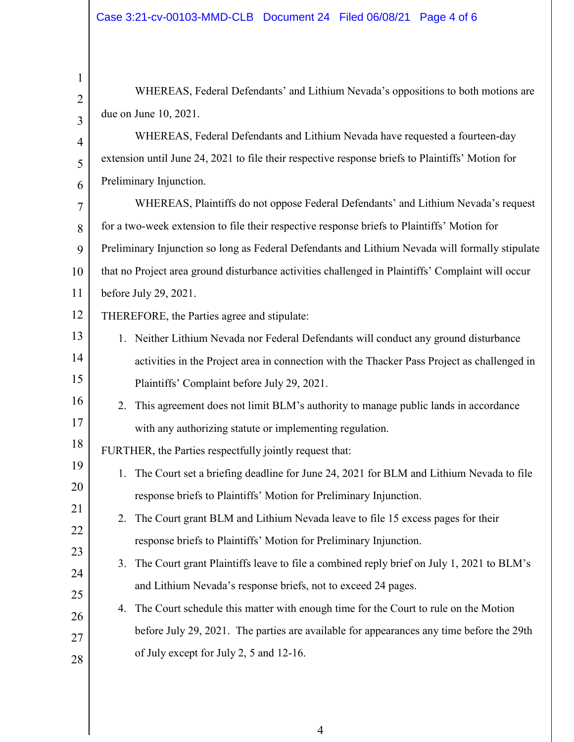| $\mathbf{1}$   |                                                                                                   |  |  |
|----------------|---------------------------------------------------------------------------------------------------|--|--|
| $\overline{2}$ | WHEREAS, Federal Defendants' and Lithium Nevada's oppositions to both motions are                 |  |  |
| $\overline{3}$ | due on June 10, 2021.                                                                             |  |  |
| $\overline{4}$ | WHEREAS, Federal Defendants and Lithium Nevada have requested a fourteen-day                      |  |  |
| 5              | extension until June 24, 2021 to file their respective response briefs to Plaintiffs' Motion for  |  |  |
| 6              | Preliminary Injunction.                                                                           |  |  |
| $\overline{7}$ | WHEREAS, Plaintiffs do not oppose Federal Defendants' and Lithium Nevada's request                |  |  |
| 8              | for a two-week extension to file their respective response briefs to Plaintiffs' Motion for       |  |  |
| 9              | Preliminary Injunction so long as Federal Defendants and Lithium Nevada will formally stipulate   |  |  |
| 10             | that no Project area ground disturbance activities challenged in Plaintiffs' Complaint will occur |  |  |
| 11             | before July 29, 2021.                                                                             |  |  |
| 12             | THEREFORE, the Parties agree and stipulate:                                                       |  |  |
| 13             | 1. Neither Lithium Nevada nor Federal Defendants will conduct any ground disturbance              |  |  |
| 14             | activities in the Project area in connection with the Thacker Pass Project as challenged in       |  |  |
| 15             | Plaintiffs' Complaint before July 29, 2021.                                                       |  |  |
| 16             | This agreement does not limit BLM's authority to manage public lands in accordance<br>2.          |  |  |
| 17             | with any authorizing statute or implementing regulation.                                          |  |  |
| 18             | FURTHER, the Parties respectfully jointly request that:                                           |  |  |
| 19             | The Court set a briefing deadline for June 24, 2021 for BLM and Lithium Nevada to file<br>1.      |  |  |
| 20             | response briefs to Plaintiffs' Motion for Preliminary Injunction.                                 |  |  |
| 21             | The Court grant BLM and Lithium Nevada leave to file 15 excess pages for their<br>2.              |  |  |
| 22             | response briefs to Plaintiffs' Motion for Preliminary Injunction.                                 |  |  |
| 23             | The Court grant Plaintiffs leave to file a combined reply brief on July 1, 2021 to BLM's<br>3.    |  |  |
| 24             | and Lithium Nevada's response briefs, not to exceed 24 pages.                                     |  |  |
| 25<br>26       | The Court schedule this matter with enough time for the Court to rule on the Motion<br>4.         |  |  |
| 27             | before July 29, 2021. The parties are available for appearances any time before the 29th          |  |  |
| 28             | of July except for July 2, 5 and 12-16.                                                           |  |  |
|                |                                                                                                   |  |  |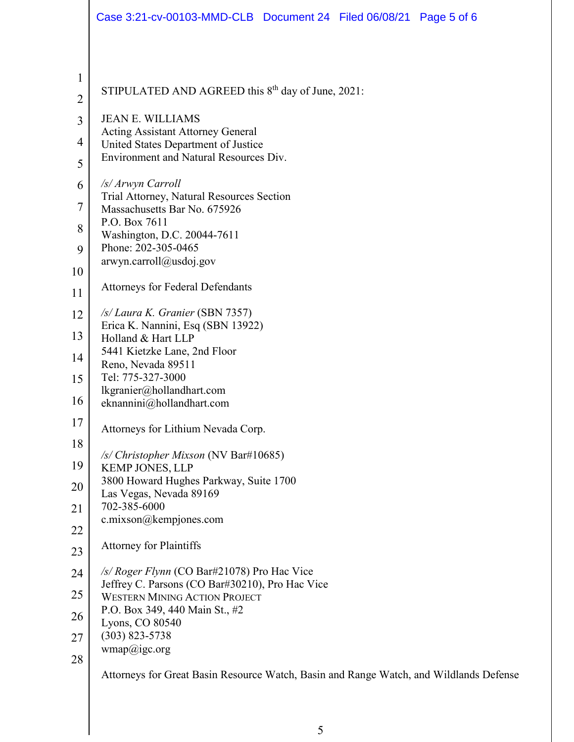|                | Case 3:21-cv-00103-MMD-CLB  Document 24  Filed 06/08/21  Page 5 of 6                    |
|----------------|-----------------------------------------------------------------------------------------|
| $\mathbf{1}$   |                                                                                         |
| $\overline{2}$ | STIPULATED AND AGREED this $8th$ day of June, 2021:                                     |
| 3              | <b>JEAN E. WILLIAMS</b>                                                                 |
| 4              | <b>Acting Assistant Attorney General</b><br>United States Department of Justice         |
| 5              | Environment and Natural Resources Div.                                                  |
| 6              | /s/ Arwyn Carroll<br>Trial Attorney, Natural Resources Section                          |
| 7              | Massachusetts Bar No. 675926                                                            |
| 8              | P.O. Box 7611<br>Washington, D.C. 20044-7611                                            |
| 9              | Phone: 202-305-0465<br>arwyn.carroll@usdoj.gov                                          |
| 10             |                                                                                         |
| 11             | <b>Attorneys for Federal Defendants</b>                                                 |
| 12             | /s/ Laura K. Granier (SBN 7357)<br>Erica K. Nannini, Esq (SBN 13922)                    |
| 13             | Holland & Hart LLP<br>5441 Kietzke Lane, 2nd Floor                                      |
| 14             | Reno, Nevada 89511                                                                      |
| 15             | Tel: 775-327-3000<br>lkgranier@hollandhart.com                                          |
| 16             | eknannini@hollandhart.com                                                               |
| 17             | Attorneys for Lithium Nevada Corp.                                                      |
| 18             | /s/ Christopher Mixson (NV Bar#10685)                                                   |
| 19<br>20       | <b>KEMP JONES, LLP</b><br>3800 Howard Hughes Parkway, Suite 1700                        |
| 21             | Las Vegas, Nevada 89169<br>702-385-6000                                                 |
| 22             | c.mixson@kempjones.com                                                                  |
| 23             | <b>Attorney for Plaintiffs</b>                                                          |
| 24             | /s/ Roger Flynn (CO Bar#21078) Pro Hac Vice                                             |
| 25             | Jeffrey C. Parsons (CO Bar#30210), Pro Hac Vice<br><b>WESTERN MINING ACTION PROJECT</b> |
| 26             | P.O. Box 349, 440 Main St., #2<br>Lyons, CO 80540                                       |
| 27             | $(303)$ 823-5738                                                                        |
| 28             | wmap@ige.org                                                                            |
|                | Attorneys for Great Basin Resource Watch, Basin and Range Watch, and Wildlands Defense  |